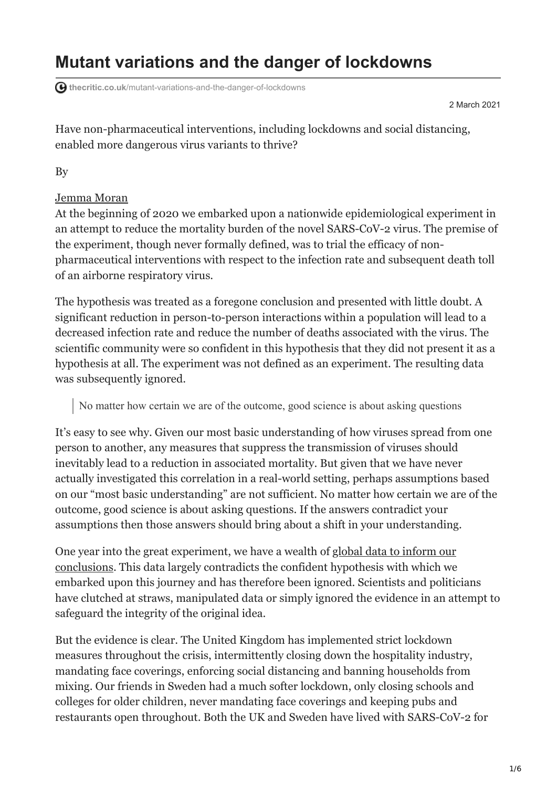## **Mutant variations and the danger of lockdowns**

**thecritic.co.uk**[/mutant-variations-and-the-danger-of-lockdowns](https://thecritic.co.uk/mutant-variations-and-the-danger-of-lockdowns/)

2 March 2021

Have non-pharmaceutical interventions, including lockdowns and social distancing, enabled more dangerous virus variants to thrive?

By

## [Jemma Moran](https://thecritic.co.uk/author/jemma-moran/)

At the beginning of 2020 we embarked upon a nationwide epidemiological experiment in an attempt to reduce the mortality burden of the novel SARS-CoV-2 virus. The premise of the experiment, though never formally defined, was to trial the efficacy of nonpharmaceutical interventions with respect to the infection rate and subsequent death toll of an airborne respiratory virus.

The hypothesis was treated as a foregone conclusion and presented with little doubt. A significant reduction in person-to-person interactions within a population will lead to a decreased infection rate and reduce the number of deaths associated with the virus. The scientific community were so confident in this hypothesis that they did not present it as a hypothesis at all. The experiment was not defined as an experiment. The resulting data was subsequently ignored.

No matter how certain we are of the outcome, good science is about asking questions

It's easy to see why. Given our most basic understanding of how viruses spread from one person to another, any measures that suppress the transmission of viruses should inevitably lead to a reduction in associated mortality. But given that we have never actually investigated this correlation in a real-world setting, perhaps assumptions based on our "most basic understanding" are not sufficient. No matter how certain we are of the outcome, good science is about asking questions. If the answers contradict your assumptions then those answers should bring about a shift in your understanding.

One year into the great experiment, we have a wealth of global data to inform our [conclusions. This data largely contradicts the confident hypothesis with which we](https://www.aier.org/article/lockdowns-do-not-control-the-coronavirus-the-evidence/) embarked upon this journey and has therefore been ignored. Scientists and politicians have clutched at straws, manipulated data or simply ignored the evidence in an attempt to safeguard the integrity of the original idea.

But the evidence is clear. The United Kingdom has implemented strict lockdown measures throughout the crisis, intermittently closing down the hospitality industry, mandating face coverings, enforcing social distancing and banning households from mixing. Our friends in Sweden had a much softer lockdown, only closing schools and colleges for older children, never mandating face coverings and keeping pubs and restaurants open throughout. Both the UK and Sweden have lived with SARS-CoV-2 for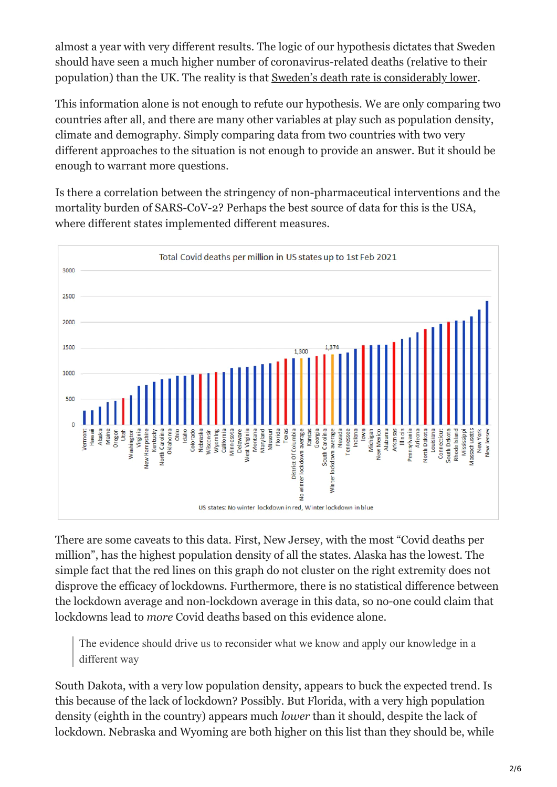almost a year with very different results. The logic of our hypothesis dictates that Sweden should have seen a much higher number of coronavirus-related deaths (relative to their population) than the UK. The reality is that [Sweden's death rate is considerably lower](https://coronavirus.jhu.edu/data/mortality).

This information alone is not enough to refute our hypothesis. We are only comparing two countries after all, and there are many other variables at play such as population density, climate and demography. Simply comparing data from two countries with two very different approaches to the situation is not enough to provide an answer. But it should be enough to warrant more questions.

Is there a correlation between the stringency of non-pharmaceutical interventions and the mortality burden of SARS-CoV-2? Perhaps the best source of data for this is the USA, where different states implemented different measures.



There are some caveats to this data. First, New Jersey, with the most "Covid deaths per million", has the highest population density of all the states. Alaska has the lowest. The simple fact that the red lines on this graph do not cluster on the right extremity does not disprove the efficacy of lockdowns. Furthermore, there is no statistical difference between the lockdown average and non-lockdown average in this data, so no-one could claim that lockdowns lead to *more* Covid deaths based on this evidence alone.

The evidence should drive us to reconsider what we know and apply our knowledge in a different way

South Dakota, with a very low population density, appears to buck the expected trend. Is this because of the lack of lockdown? Possibly. But Florida, with a very high population density (eighth in the country) appears much *lower* than it should, despite the lack of lockdown. Nebraska and Wyoming are both higher on this list than they should be, while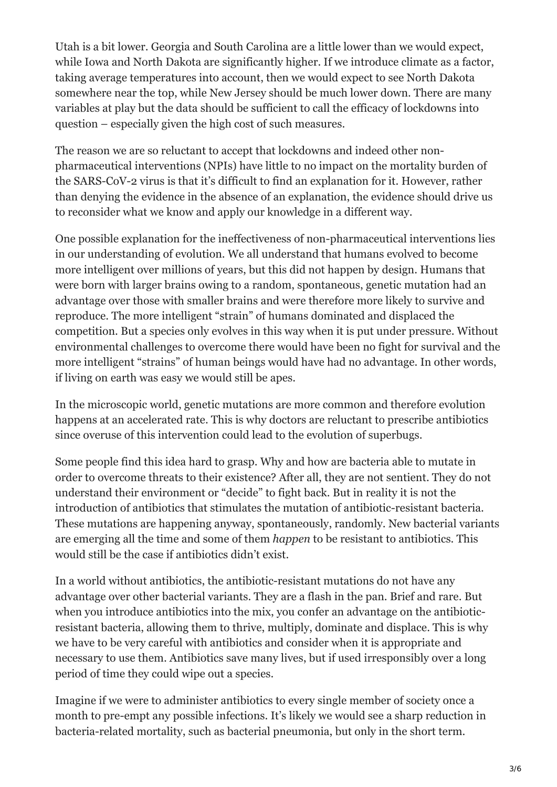Utah is a bit lower. Georgia and South Carolina are a little lower than we would expect, while Iowa and North Dakota are significantly higher. If we introduce climate as a factor, taking average temperatures into account, then we would expect to see North Dakota somewhere near the top, while New Jersey should be much lower down. There are many variables at play but the data should be sufficient to call the efficacy of lockdowns into question – especially given the high cost of such measures.

The reason we are so reluctant to accept that lockdowns and indeed other nonpharmaceutical interventions (NPIs) have little to no impact on the mortality burden of the SARS-CoV-2 virus is that it's difficult to find an explanation for it. However, rather than denying the evidence in the absence of an explanation, the evidence should drive us to reconsider what we know and apply our knowledge in a different way.

One possible explanation for the ineffectiveness of non-pharmaceutical interventions lies in our understanding of evolution. We all understand that humans evolved to become more intelligent over millions of years, but this did not happen by design. Humans that were born with larger brains owing to a random, spontaneous, genetic mutation had an advantage over those with smaller brains and were therefore more likely to survive and reproduce. The more intelligent "strain" of humans dominated and displaced the competition. But a species only evolves in this way when it is put under pressure. Without environmental challenges to overcome there would have been no fight for survival and the more intelligent "strains" of human beings would have had no advantage. In other words, if living on earth was easy we would still be apes.

In the microscopic world, genetic mutations are more common and therefore evolution happens at an accelerated rate. This is why doctors are reluctant to prescribe antibiotics since overuse of this intervention could lead to the evolution of superbugs.

Some people find this idea hard to grasp. Why and how are bacteria able to mutate in order to overcome threats to their existence? After all, they are not sentient. They do not understand their environment or "decide" to fight back. But in reality it is not the introduction of antibiotics that stimulates the mutation of antibiotic-resistant bacteria. These mutations are happening anyway, spontaneously, randomly. New bacterial variants are emerging all the time and some of them *happen* to be resistant to antibiotics. This would still be the case if antibiotics didn't exist.

In a world without antibiotics, the antibiotic-resistant mutations do not have any advantage over other bacterial variants. They are a flash in the pan. Brief and rare. But when you introduce antibiotics into the mix, you confer an advantage on the antibioticresistant bacteria, allowing them to thrive, multiply, dominate and displace. This is why we have to be very careful with antibiotics and consider when it is appropriate and necessary to use them. Antibiotics save many lives, but if used irresponsibly over a long period of time they could wipe out a species.

Imagine if we were to administer antibiotics to every single member of society once a month to pre-empt any possible infections. It's likely we would see a sharp reduction in bacteria-related mortality, such as bacterial pneumonia, but only in the short term.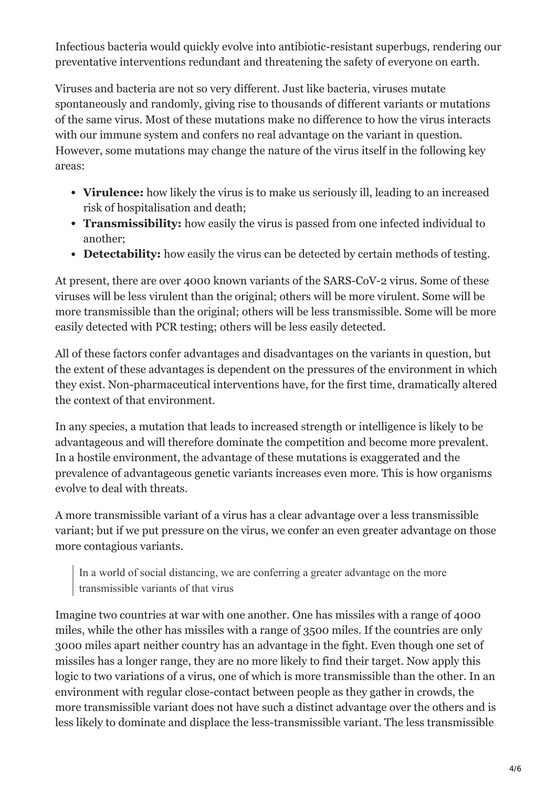Infectious bacteria would quickly evolve into antibiotic-resistant superbugs, rendering our preventative interventions redundant and threatening the safety of everyone on earth.

Viruses and bacteria are not so very different. Just like bacteria, viruses mutate spontaneously and randomly, giving rise to thousands of different variants or mutations of the same virus. Most of these mutations make no difference to how the virus interacts with our immune system and confers no real advantage on the variant in question. However, some mutations may change the nature of the virus itself in the following key areas:

- **Virulence:** how likely the virus is to make us seriously ill, leading to an increased risk of hospitalisation and death;
- **Transmissibility:** how easily the virus is passed from one infected individual to another;
- **Detectability:** how easily the virus can be detected by certain methods of testing.

At present, there are over 4000 known variants of the SARS-CoV-2 virus. Some of these viruses will be less virulent than the original; others will be more virulent. Some will be more transmissible than the original; others will be less transmissible. Some will be more easily detected with PCR testing; others will be less easily detected.

All of these factors confer advantages and disadvantages on the variants in question, but the extent of these advantages is dependent on the pressures of the environment in which they exist. Non-pharmaceutical interventions have, for the first time, dramatically altered the context of that environment.

In any species, a mutation that leads to increased strength or intelligence is likely to be advantageous and will therefore dominate the competition and become more prevalent. In a hostile environment, the advantage of these mutations is exaggerated and the prevalence of advantageous genetic variants increases even more. This is how organisms evolve to deal with threats.

A more transmissible variant of a virus has a clear advantage over a less transmissible variant; but if we put pressure on the virus, we confer an even greater advantage on those more contagious variants.

In a world of social distancing, we are conferring a greater advantage on the more transmissible variants of that virus

Imagine two countries at war with one another. One has missiles with a range of 4000 miles, while the other has missiles with a range of 3500 miles. If the countries are only 3000 miles apart neither country has an advantage in the fight. Even though one set of missiles has a longer range, they are no more likely to find their target. Now apply this logic to two variations of a virus, one of which is more transmissible than the other. In an environment with regular close-contact between people as they gather in crowds, the more transmissible variant does not have such a distinct advantage over the others and is less likely to dominate and displace the less-transmissible variant. The less transmissible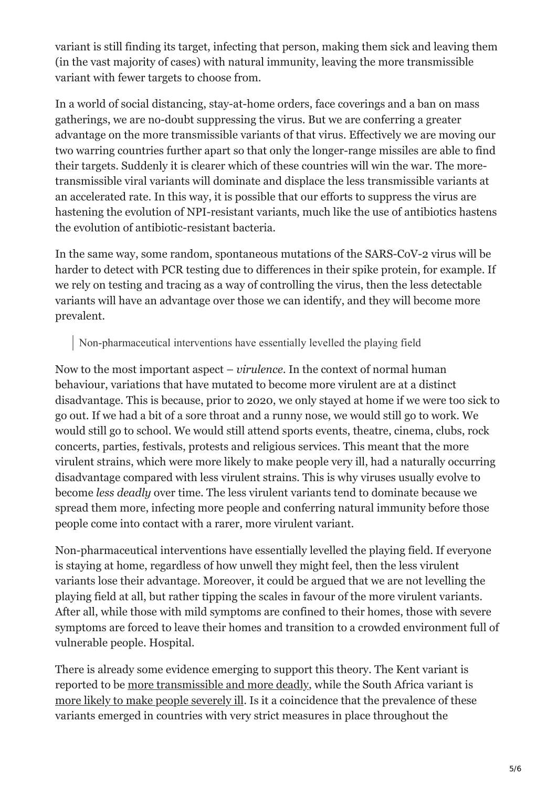variant is still finding its target, infecting that person, making them sick and leaving them (in the vast majority of cases) with natural immunity, leaving the more transmissible variant with fewer targets to choose from.

In a world of social distancing, stay-at-home orders, face coverings and a ban on mass gatherings, we are no-doubt suppressing the virus. But we are conferring a greater advantage on the more transmissible variants of that virus. Effectively we are moving our two warring countries further apart so that only the longer-range missiles are able to find their targets. Suddenly it is clearer which of these countries will win the war. The moretransmissible viral variants will dominate and displace the less transmissible variants at an accelerated rate. In this way, it is possible that our efforts to suppress the virus are hastening the evolution of NPI-resistant variants, much like the use of antibiotics hastens the evolution of antibiotic-resistant bacteria.

In the same way, some random, spontaneous mutations of the SARS-CoV-2 virus will be harder to detect with PCR testing due to differences in their spike protein, for example. If we rely on testing and tracing as a way of controlling the virus, then the less detectable variants will have an advantage over those we can identify, and they will become more prevalent.

## Non-pharmaceutical interventions have essentially levelled the playing field

Now to the most important aspect – *virulence*. In the context of normal human behaviour, variations that have mutated to become more virulent are at a distinct disadvantage. This is because, prior to 2020, we only stayed at home if we were too sick to go out. If we had a bit of a sore throat and a runny nose, we would still go to work. We would still go to school. We would still attend sports events, theatre, cinema, clubs, rock concerts, parties, festivals, protests and religious services. This meant that the more virulent strains, which were more likely to make people very ill, had a naturally occurring disadvantage compared with less virulent strains. This is why viruses usually evolve to become *less deadly* over time. The less virulent variants tend to dominate because we spread them more, infecting more people and conferring natural immunity before those people come into contact with a rarer, more virulent variant.

Non-pharmaceutical interventions have essentially levelled the playing field. If everyone is staying at home, regardless of how unwell they might feel, then the less virulent variants lose their advantage. Moreover, it could be argued that we are not levelling the playing field at all, but rather tipping the scales in favour of the more virulent variants. After all, while those with mild symptoms are confined to their homes, those with severe symptoms are forced to leave their homes and transition to a crowded environment full of vulnerable people. Hospital.

There is already some evidence emerging to support this theory. The Kent variant is reported to be [more transmissible and more deadly](https://www.bmj.com/content/372/bmj.n230), while the South Africa variant is [more likely to make people severely ill](https://en.wikipedia.org/wiki/501.V2_variant#cite_note-8). Is it a coincidence that the prevalence of these variants emerged in countries with very strict measures in place throughout the